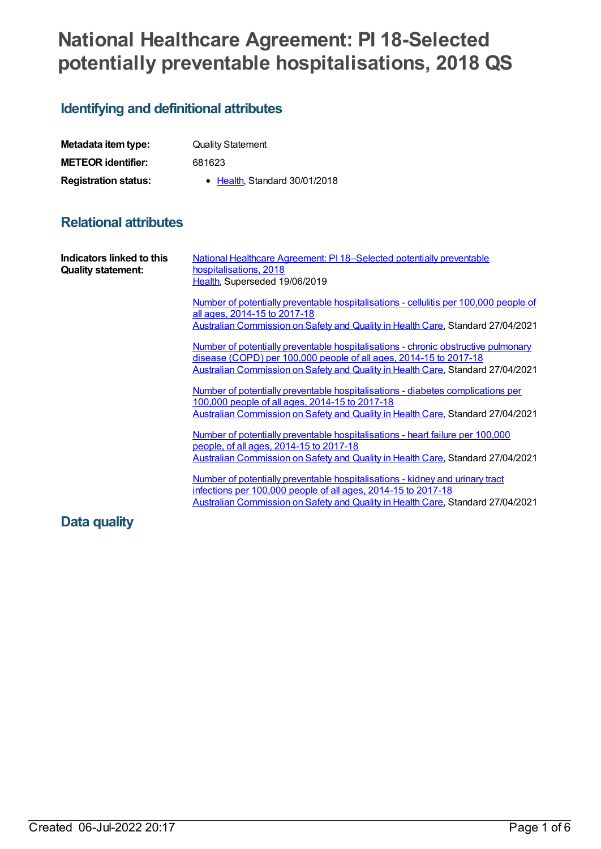# **National Healthcare Agreement: PI 18-Selected potentially preventable hospitalisations, 2018 QS**

# **Identifying and definitional attributes**

| Metadata item type:         | <b>Quality Statement</b>      |
|-----------------------------|-------------------------------|
| <b>METEOR identifier:</b>   | 681623                        |
| <b>Registration status:</b> | • Health, Standard 30/01/2018 |

## **Relational attributes**

| Indicators linked to this<br><b>Quality statement:</b> | National Healthcare Agreement: PI 18-Selected potentially preventable<br>hospitalisations, 2018<br>Health, Superseded 19/06/2019                                                                                                           |
|--------------------------------------------------------|--------------------------------------------------------------------------------------------------------------------------------------------------------------------------------------------------------------------------------------------|
|                                                        | Number of potentially preventable hospitalisations - cellulitis per 100,000 people of<br>all ages, 2014-15 to 2017-18<br>Australian Commission on Safety and Quality in Health Care, Standard 27/04/2021                                   |
|                                                        | Number of potentially preventable hospitalisations - chronic obstructive pulmonary<br>disease (COPD) per 100,000 people of all ages, 2014-15 to 2017-18<br>Australian Commission on Safety and Quality in Health Care, Standard 27/04/2021 |
|                                                        | Number of potentially preventable hospitalisations - diabetes complications per<br>100,000 people of all ages, 2014-15 to 2017-18<br>Australian Commission on Safety and Quality in Health Care, Standard 27/04/2021                       |
|                                                        | Number of potentially preventable hospitalisations - heart failure per 100,000<br>people, of all ages, 2014-15 to 2017-18<br>Australian Commission on Safety and Quality in Health Care, Standard 27/04/2021                               |
|                                                        | Number of potentially preventable hospitalisations - kidney and urinary tract<br>infections per 100,000 people of all ages, 2014-15 to 2017-18<br>Australian Commission on Safety and Quality in Health Care, Standard 27/04/2021          |
| Data quality                                           |                                                                                                                                                                                                                                            |

### Created 06-Jul-2022 20:17 Page 1 of 6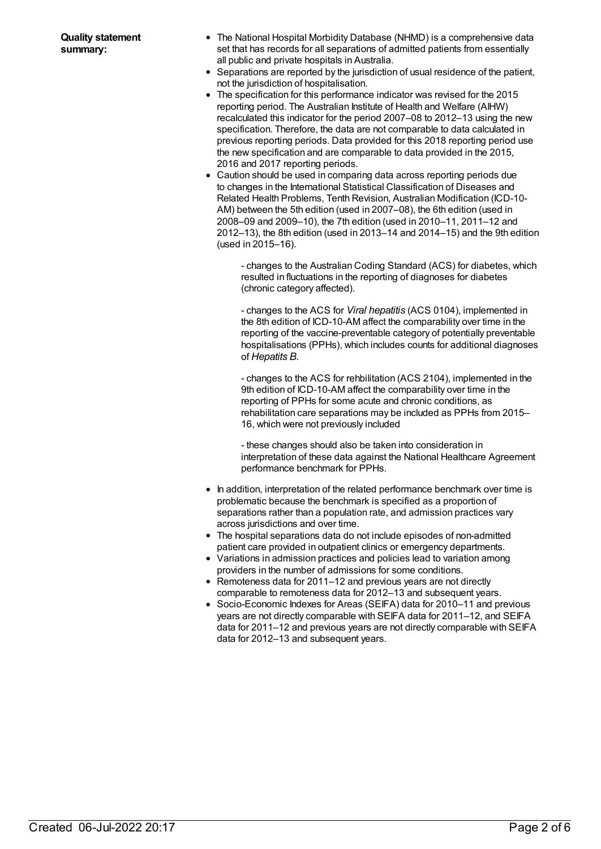- The National Hospital Morbidity Database (NHMD) is a comprehensive data set that has records for all separations of admitted patients from essentially all public and private hospitals in Australia.
- Separations are reported by the jurisdiction of usual residence of the patient, not the jurisdiction of hospitalisation.
- The specification for this performance indicator was revised for the 2015 reporting period. The Australian Institute of Health and Welfare (AIHW) recalculated this indicator for the period 2007–08 to 2012–13 using the new specification. Therefore, the data are not comparable to data calculated in previous reporting periods. Data provided for this 2018 reporting period use the new specification and are comparable to data provided in the 2015, 2016 and 2017 reporting periods.
- Caution should be used in comparing data across reporting periods due to changes in the International Statistical Classification of Diseases and Related Health Problems, Tenth Revision, Australian Modification (ICD-10- AM) between the 5th edition (used in 2007–08), the 6th edition (used in 2008–09 and 2009–10), the 7th edition (used in 2010–11, 2011–12 and 2012–13), the 8th edition (used in 2013–14 and 2014–15) and the 9th edition (used in 2015–16).

- changes to the Australian Coding Standard (ACS) for diabetes, which resulted in fluctuations in the reporting of diagnoses for diabetes (chronic category affected).

- changes to the ACS for *Viral hepatitis* (ACS 0104), implemented in the 8th edition of ICD-10-AM affect the comparability over time in the reporting of the vaccine-preventable category of potentially preventable hospitalisations (PPHs), which includes counts for additional diagnoses of *Hepatits B*.

- changes to the ACS for rehbilitation (ACS 2104), implemented in the 9th edition of ICD-10-AM affect the comparability over time in the reporting of PPHs for some acute and chronic conditions, as rehabilitation care separations may be included as PPHs from 2015– 16, which were not previously included

- these changes should also be taken into consideration in interpretation of these data against the National Healthcare Agreement performance benchmark for PPHs.

- In addition, interpretation of the related performance benchmark over time is problematic because the benchmark is specified as a proportion of separations rather than a population rate, and admission practices vary across jurisdictions and over time.
- The hospital separations data do not include episodes of non-admitted patient care provided in outpatient clinics or emergency departments.
- Variations in admission practices and policies lead to variation among providers in the number of admissions for some conditions.
- Remoteness data for 2011–12 and previous years are not directly comparable to remoteness data for 2012–13 and subsequent years.
- Socio-Economic Indexes for Areas (SEIFA) data for 2010–11 and previous years are not directly comparable with SEIFA data for 2011–12, and SEIFA data for 2011–12 and previous years are not directly comparable with SEIFA data for 2012–13 and subsequent years.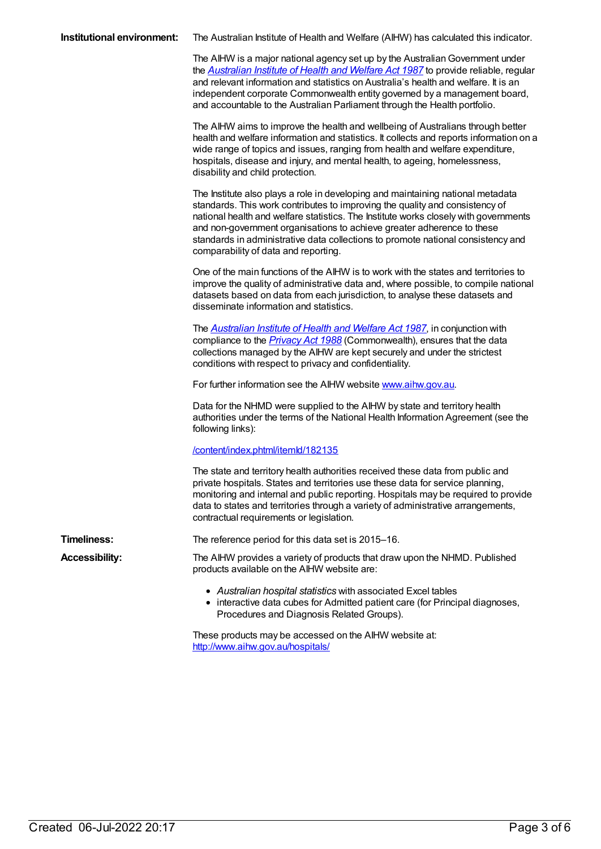|  | Institutional environment: The Australian Institute of Health and Welfare (AIHW) has calculated this indicator. |
|--|-----------------------------------------------------------------------------------------------------------------|
|--|-----------------------------------------------------------------------------------------------------------------|

The AIHW is a major national agency set up by the Australian Government under the *[Australian](https://www.legislation.gov.au/Series/C2004A03450) Institute of Health and Welfare Act 1987* to provide reliable, regular and relevant information and statistics on Australia's health and welfare. It is an independent corporate Commonwealth entity governed by a management board, and accountable to the Australian Parliament through the Health portfolio.

The AIHW aims to improve the health and wellbeing of Australians through better health and welfare information and statistics. It collects and reports information on a wide range of topics and issues, ranging from health and welfare expenditure, hospitals, disease and injury, and mental health, to ageing, homelessness, disability and child protection.

The Institute also plays a role in developing and maintaining national metadata standards. This work contributes to improving the quality and consistency of national health and welfare statistics. The Institute works closely with governments and non-government organisations to achieve greater adherence to these standards in administrative data collections to promote national consistency and comparability of data and reporting.

One of the main functions of the AIHW is to work with the states and territories to improve the quality of administrative data and, where possible, to compile national datasets based on data from each jurisdiction, to analyse these datasets and disseminate information and statistics.

The *[Australian](https://www.legislation.gov.au/Series/C2004A03450) Institute of Health and Welfare Act 1987*, in conjunction with compliance to the *[Privacy](https://www.legislation.gov.au/Series/C2004A03712) Act 1988* (Commonwealth), ensures that the data collections managed by the AIHW are kept securely and under the strictest conditions with respect to privacy and confidentiality.

For further information see the AIHW website [www.aihw.gov.au](http://www.aihw.gov.au/).

Data for the NHMD were supplied to the AIHW by state and territory health authorities under the terms of the National Health Information Agreement (see the following links):

#### [/content/index.phtml/itemId/182135](file:///content/182135)

The state and territory health authorities received these data from public and private hospitals. States and territories use these data for service planning, monitoring and internal and public reporting. Hospitals may be required to provide data to states and territories through a variety of administrative arrangements, contractual requirements or legislation.

**Timeliness:** The reference period for this data set is 2015–16.

- **Accessibility:** The AIHW provides a variety of products that draw upon the NHMD. Published products available on the AIHW website are:
	- *Australian hospital statistics* with associated Excel tables
	- interactive data cubes for Admitted patient care (for Principal diagnoses, Procedures and Diagnosis Related Groups).

These products may be accessed on the AIHW website at: <http://www.aihw.gov.au/hospitals/>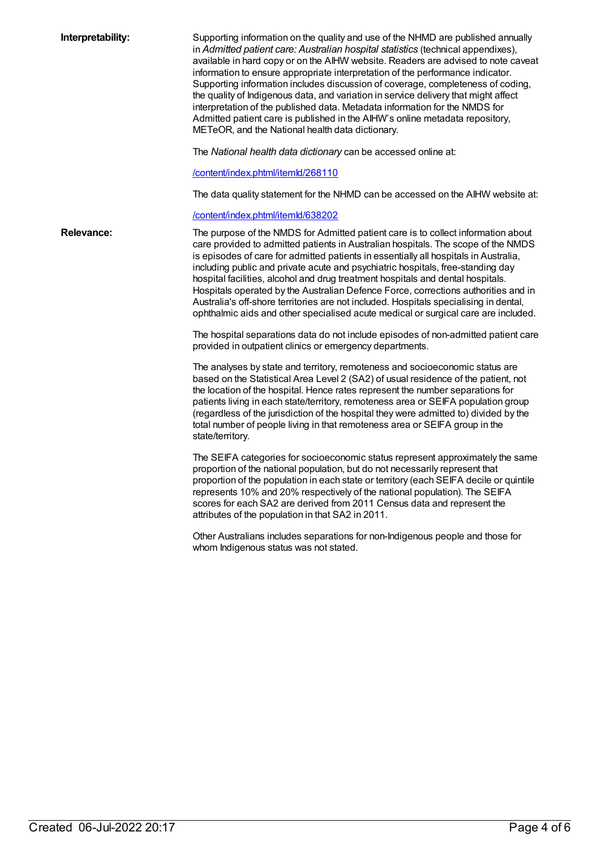| Interpretability: | Supporting information on the quality and use of the NHMD are published annually<br>in Admitted patient care: Australian hospital statistics (technical appendixes),<br>available in hard copy or on the AIHW website. Readers are advised to note caveat<br>information to ensure appropriate interpretation of the performance indicator.<br>Supporting information includes discussion of coverage, completeness of coding,<br>the quality of Indigenous data, and variation in service delivery that might affect<br>interpretation of the published data. Metadata information for the NMDS for<br>Admitted patient care is published in the AIHW's online metadata repository,<br>METeOR, and the National health data dictionary.<br>The National health data dictionary can be accessed online at:<br>/content/index.phtml/itemld/268110<br>The data quality statement for the NHMD can be accessed on the AIHW website at:<br>/content/index.phtml/itemld/638202 |
|-------------------|---------------------------------------------------------------------------------------------------------------------------------------------------------------------------------------------------------------------------------------------------------------------------------------------------------------------------------------------------------------------------------------------------------------------------------------------------------------------------------------------------------------------------------------------------------------------------------------------------------------------------------------------------------------------------------------------------------------------------------------------------------------------------------------------------------------------------------------------------------------------------------------------------------------------------------------------------------------------------|
| <b>Relevance:</b> | The purpose of the NMDS for Admitted patient care is to collect information about<br>care provided to admitted patients in Australian hospitals. The scope of the NMDS<br>is episodes of care for admitted patients in essentially all hospitals in Australia,<br>including public and private acute and psychiatric hospitals, free-standing day<br>hospital facilities, alcohol and drug treatment hospitals and dental hospitals.<br>Hospitals operated by the Australian Defence Force, corrections authorities and in<br>Australia's off-shore territories are not included. Hospitals specialising in dental,<br>ophthalmic aids and other specialised acute medical or surgical care are included.<br>The hospital separations data do not include episodes of non-admitted patient care<br>provided in outpatient clinics or emergency departments.                                                                                                               |
|                   | The analyses by state and territory, remoteness and socioeconomic status are<br>based on the Statistical Area Level 2 (SA2) of usual residence of the patient, not<br>the location of the hospital. Hence rates represent the number separations for<br>patients living in each state/territory, remoteness area or SEIFA population group<br>(regardless of the jurisdiction of the hospital they were admitted to) divided by the<br>total number of people living in that remoteness area or SEIFA group in the<br>state/territory.                                                                                                                                                                                                                                                                                                                                                                                                                                    |
|                   | The SEIFA categories for socioeconomic status represent approximately the same<br>proportion of the national population, but do not necessarily represent that<br>proportion of the population in each state or territory (each SEIFA decile or quintile<br>represents 10% and 20% respectively of the national population). The SEIFA<br>scores for each SA2 are derived from 2011 Census data and represent the<br>attributes of the population in that SA2 in 2011.                                                                                                                                                                                                                                                                                                                                                                                                                                                                                                    |
|                   | Other Australians includes separations for non-Indigenous people and those for<br>whom Indigenous status was not stated.                                                                                                                                                                                                                                                                                                                                                                                                                                                                                                                                                                                                                                                                                                                                                                                                                                                  |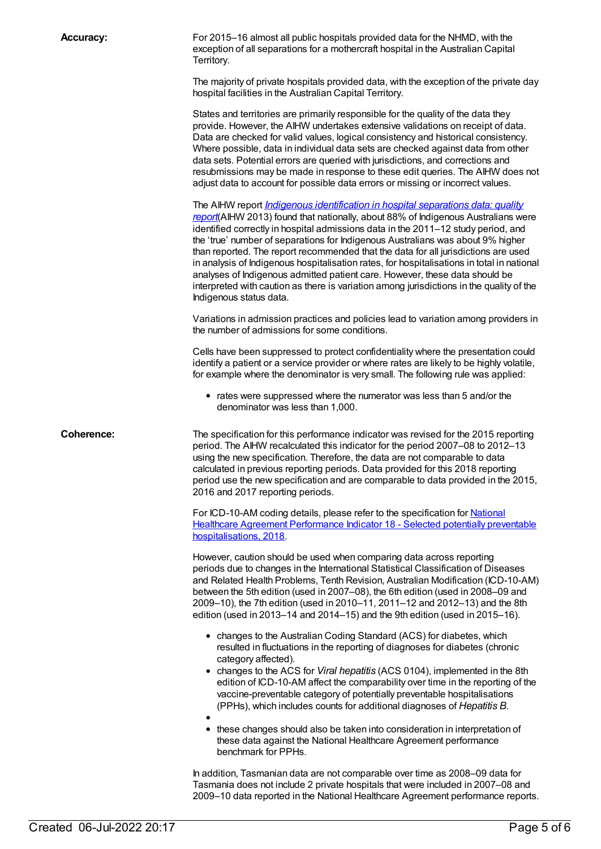**Accuracy:** For 2015–16 almost all public hospitals provided data for the NHMD, with the exception of all separations for a mothercraft hospital in the Australian Capital Territory.

> The majority of private hospitals provided data, with the exception of the private day hospital facilities in the Australian Capital Territory.

> States and territories are primarily responsible for the quality of the data they provide. However, the AIHW undertakes extensive validations on receipt of data. Data are checked for valid values, logical consistency and historical consistency. Where possible, data in individual data sets are checked against data from other data sets. Potential errors are queried with jurisdictions, and corrections and resubmissions may be made in response to these edit queries. The AIHW does not adjust data to account for possible data errors or missing or incorrect values.

> The AIHW report *Indigenous [identification](http://www.aihw.gov.au/publication-detail/?id=60129543215) in hospital separations data: quality report*(AIHW 2013) found that nationally, about 88% of Indigenous Australians were identified correctly in hospital admissions data in the 2011–12 study period, and the 'true' number of separations for Indigenous Australians was about 9% higher than reported. The report recommended that the data for all jurisdictions are used in analysis of Indigenous hospitalisation rates, for hospitalisations in total in national analyses of Indigenous admitted patient care. However, these data should be interpreted with caution as there is variation among jurisdictions in the quality of the Indigenous status data.

> Variations in admission practices and policies lead to variation among providers in the number of admissions for some conditions.

> Cells have been suppressed to protect confidentiality where the presentation could identify a patient or a service provider or where rates are likely to be highly volatile, for example where the denominator is very small. The following rule was applied:

• rates were suppressed where the numerator was less than 5 and/or the denominator was less than 1,000.

**Coherence:** The specification for this performance indicator was revised for the 2015 reporting period. The AIHW recalculated this indicator for the period 2007–08 to 2012–13 using the new specification. Therefore, the data are not comparable to data calculated in previous reporting periods. Data provided for this 2018 reporting period use the new specification and are comparable to data provided in the 2015, 2016 and 2017 reporting periods.

> For ICD-10-AM coding details, please refer to the specification for National Healthcare Agreement Performance Indicator 18 - Selected potentially preventable [hospitalisations,](file:///content/630028) 201[8](file:///content/658499).

> However, caution should be used when comparing data across reporting periods due to changes in the International Statistical Classification of Diseases and Related Health Problems, Tenth Revision, Australian Modification (ICD-10-AM) between the 5th edition (used in 2007–08), the 6th edition (used in 2008–09 and 2009–10), the 7th edition (used in 2010–11, 2011–12 and 2012–13) and the 8th edition (used in 2013–14 and 2014–15) and the 9th edition (used in 2015–16).

- changes to the Australian Coding Standard (ACS) for diabetes, which resulted in fluctuations in the reporting of diagnoses for diabetes (chronic category affected).
- changes to the ACS for *Viral hepatitis* (ACS 0104), implemented in the 8th edition of ICD-10-AM affect the comparability over time in the reporting of the vaccine-preventable category of potentially preventable hospitalisations (PPHs), which includes counts for additional diagnoses of *Hepatitis B*.
- these changes should also be taken into consideration in interpretation of these data against the National Healthcare Agreement performance benchmark for PPHs.

In addition, Tasmanian data are not comparable over time as 2008–09 data for Tasmania does not include 2 private hospitals that were included in 2007–08 and 2009–10 data reported in the National Healthcare Agreement performance reports.